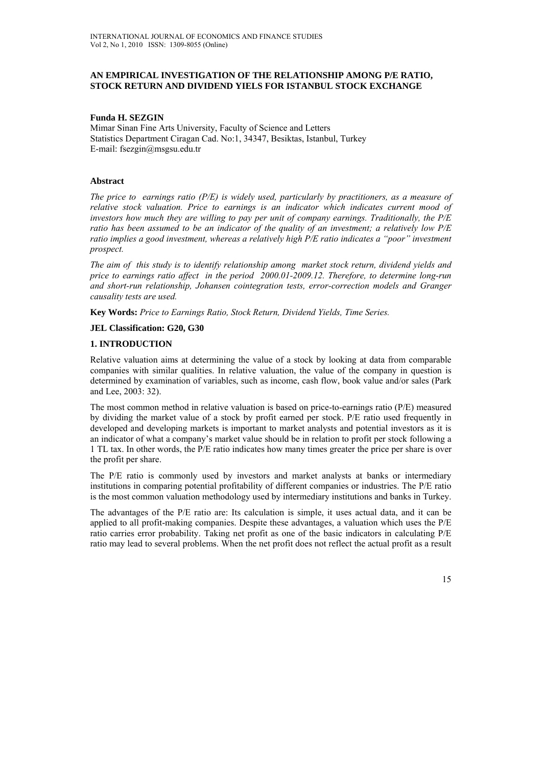## **AN EMPIRICAL INVESTIGATION OF THE RELATIONSHIP AMONG P/E RATIO, STOCK RETURN AND DIVIDEND YIELS FOR ISTANBUL STOCK EXCHANGE**

## **Funda H. SEZGIN**

Mimar Sinan Fine Arts University, Faculty of Science and Letters Statistics Department Ciragan Cad. No:1, 34347, Besiktas, Istanbul, Turkey E-mail: fsezgin@msgsu.edu.tr

## **Abstract**

*The price to earnings ratio (P/E) is widely used, particularly by practitioners, as a measure of relative stock valuation. Price to earnings is an indicator which indicates current mood of investors how much they are willing to pay per unit of company earnings. Traditionally, the P/E ratio has been assumed to be an indicator of the quality of an investment; a relatively low P/E ratio implies a good investment, whereas a relatively high P/E ratio indicates a "poor" investment prospect.* 

*The aim of this study is to identify relationship among market stock return, dividend yields and price to earnings ratio affect in the period 2000.01-2009.12. Therefore, to determine long-run and short-run relationship, Johansen cointegration tests, error-correction models and Granger causality tests are used.* 

**Key Words:** *Price to Earnings Ratio, Stock Return, Dividend Yields, Time Series.* 

## **JEL Classification: G20, G30**

#### **1. INTRODUCTION**

Relative valuation aims at determining the value of a stock by looking at data from comparable companies with similar qualities. In relative valuation, the value of the company in question is determined by examination of variables, such as income, cash flow, book value and/or sales (Park and Lee, 2003: 32).

The most common method in relative valuation is based on price-to-earnings ratio (P/E) measured by dividing the market value of a stock by profit earned per stock. P/E ratio used frequently in developed and developing markets is important to market analysts and potential investors as it is an indicator of what a company's market value should be in relation to profit per stock following a 1 TL tax. In other words, the P/E ratio indicates how many times greater the price per share is over the profit per share.

The P/E ratio is commonly used by investors and market analysts at banks or intermediary institutions in comparing potential profitability of different companies or industries. The P/E ratio is the most common valuation methodology used by intermediary institutions and banks in Turkey.

The advantages of the P/E ratio are: Its calculation is simple, it uses actual data, and it can be applied to all profit-making companies. Despite these advantages, a valuation which uses the P/E ratio carries error probability. Taking net profit as one of the basic indicators in calculating P/E ratio may lead to several problems. When the net profit does not reflect the actual profit as a result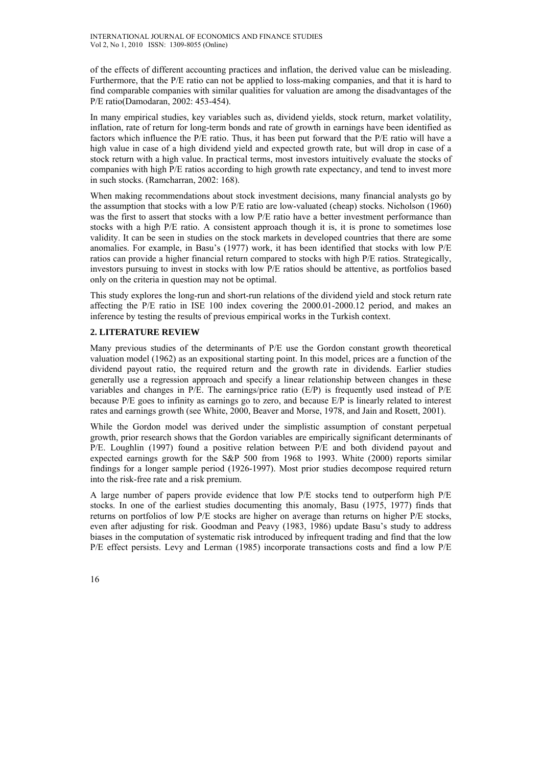of the effects of different accounting practices and inflation, the derived value can be misleading. Furthermore, that the P/E ratio can not be applied to loss-making companies, and that it is hard to find comparable companies with similar qualities for valuation are among the disadvantages of the P/E ratio(Damodaran, 2002: 453-454).

In many empirical studies, key variables such as, dividend yields, stock return, market volatility, inflation, rate of return for long-term bonds and rate of growth in earnings have been identified as factors which influence the P/E ratio. Thus, it has been put forward that the P/E ratio will have a high value in case of a high dividend yield and expected growth rate, but will drop in case of a stock return with a high value. In practical terms, most investors intuitively evaluate the stocks of companies with high P/E ratios according to high growth rate expectancy, and tend to invest more in such stocks. (Ramcharran, 2002: 168).

When making recommendations about stock investment decisions, many financial analysts go by the assumption that stocks with a low P/E ratio are low-valuated (cheap) stocks. Nicholson (1960) was the first to assert that stocks with a low  $P/E$  ratio have a better investment performance than stocks with a high P/E ratio. A consistent approach though it is, it is prone to sometimes lose validity. It can be seen in studies on the stock markets in developed countries that there are some anomalies. For example, in Basu's (1977) work, it has been identified that stocks with low P/E ratios can provide a higher financial return compared to stocks with high P/E ratios. Strategically, investors pursuing to invest in stocks with low P/E ratios should be attentive, as portfolios based only on the criteria in question may not be optimal.

This study explores the long-run and short-run relations of the dividend yield and stock return rate affecting the P/E ratio in ISE 100 index covering the 2000.01-2000.12 period, and makes an inference by testing the results of previous empirical works in the Turkish context.

# **2. LITERATURE REVIEW**

Many previous studies of the determinants of P/E use the Gordon constant growth theoretical valuation model (1962) as an expositional starting point. In this model, prices are a function of the dividend payout ratio, the required return and the growth rate in dividends. Earlier studies generally use a regression approach and specify a linear relationship between changes in these variables and changes in P/E. The earnings/price ratio (E/P) is frequently used instead of P/E because P/E goes to infinity as earnings go to zero, and because E/P is linearly related to interest rates and earnings growth (see White, 2000, Beaver and Morse, 1978, and Jain and Rosett, 2001).

While the Gordon model was derived under the simplistic assumption of constant perpetual growth, prior research shows that the Gordon variables are empirically significant determinants of P/E. Loughlin (1997) found a positive relation between P/E and both dividend payout and expected earnings growth for the S&P 500 from 1968 to 1993. White (2000) reports similar findings for a longer sample period (1926-1997). Most prior studies decompose required return into the risk-free rate and a risk premium.

A large number of papers provide evidence that low P/E stocks tend to outperform high P/E stocks. In one of the earliest studies documenting this anomaly, Basu (1975, 1977) finds that returns on portfolios of low P/E stocks are higher on average than returns on higher P/E stocks, even after adjusting for risk. Goodman and Peavy (1983, 1986) update Basu's study to address biases in the computation of systematic risk introduced by infrequent trading and find that the low P/E effect persists. Levy and Lerman (1985) incorporate transactions costs and find a low P/E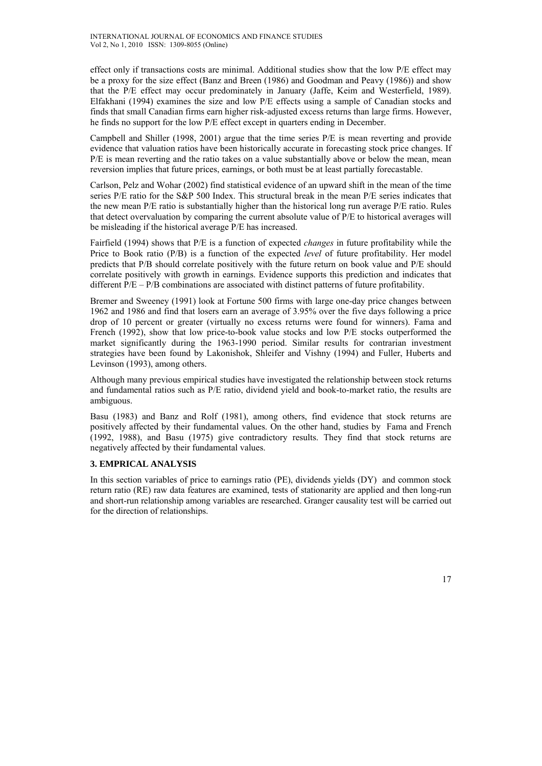effect only if transactions costs are minimal. Additional studies show that the low P/E effect may be a proxy for the size effect (Banz and Breen (1986) and Goodman and Peavy (1986)) and show that the P/E effect may occur predominately in January (Jaffe, Keim and Westerfield, 1989). Elfakhani (1994) examines the size and low P/E effects using a sample of Canadian stocks and finds that small Canadian firms earn higher risk-adjusted excess returns than large firms. However, he finds no support for the low P/E effect except in quarters ending in December.

Campbell and Shiller (1998, 2001) argue that the time series P/E is mean reverting and provide evidence that valuation ratios have been historically accurate in forecasting stock price changes. If P/E is mean reverting and the ratio takes on a value substantially above or below the mean, mean reversion implies that future prices, earnings, or both must be at least partially forecastable.

Carlson, Pelz and Wohar (2002) find statistical evidence of an upward shift in the mean of the time series P/E ratio for the S&P 500 Index. This structural break in the mean P/E series indicates that the new mean P/E ratio is substantially higher than the historical long run average P/E ratio. Rules that detect overvaluation by comparing the current absolute value of P/E to historical averages will be misleading if the historical average P/E has increased.

Fairfield (1994) shows that P/E is a function of expected *changes* in future profitability while the Price to Book ratio (P/B) is a function of the expected *level* of future profitability. Her model predicts that P/B should correlate positively with the future return on book value and P/E should correlate positively with growth in earnings. Evidence supports this prediction and indicates that different P/E – P/B combinations are associated with distinct patterns of future profitability.

Bremer and Sweeney (1991) look at Fortune 500 firms with large one-day price changes between 1962 and 1986 and find that losers earn an average of 3.95% over the five days following a price drop of 10 percent or greater (virtually no excess returns were found for winners). Fama and French (1992), show that low price-to-book value stocks and low P/E stocks outperformed the market significantly during the 1963-1990 period. Similar results for contrarian investment strategies have been found by Lakonishok, Shleifer and Vishny (1994) and Fuller, Huberts and Levinson (1993), among others.

Although many previous empirical studies have investigated the relationship between stock returns and fundamental ratios such as P/E ratio, dividend yield and book-to-market ratio, the results are ambiguous.

Basu (1983) and Banz and Rolf (1981), among others, find evidence that stock returns are positively affected by their fundamental values. On the other hand, studies by Fama and French (1992, 1988), and Basu (1975) give contradictory results. They find that stock returns are negatively affected by their fundamental values.

# **3. EMPRICAL ANALYSIS**

In this section variables of price to earnings ratio (PE), dividends yields (DY) and common stock return ratio (RE) raw data features are examined, tests of stationarity are applied and then long-run and short-run relationship among variables are researched. Granger causality test will be carried out for the direction of relationships.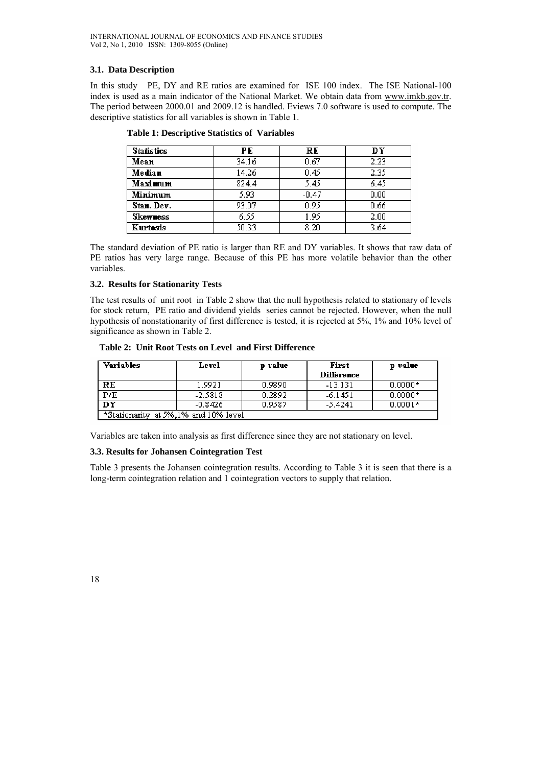# **3.1. Data Description**

In this study PE, DY and RE ratios are examined for ISE 100 index. The ISE National-100 index is used as a main indicator of the National Market. We obtain data from www.imkb.gov.tr. The period between 2000.01 and 2009.12 is handled. Eviews 7.0 software is used to compute. The descriptive statistics for all variables is shown in Table 1.

| <b>Statistics</b> | PЕ    | RE      | DY   |
|-------------------|-------|---------|------|
| Mean              | 34.16 | 0.67    | 2.23 |
| Median            | 14.26 | 0.45    | 2.35 |
| Maximum           | 824.4 | 5.45    | 6.45 |
| Minimum           | 5.93  | $-0.47$ | 0.00 |
| Stan. Dev.        | 93.07 | 0.95    | 0.66 |
| <b>Skewness</b>   | 6.55  | 1.95    | 2.00 |
| Kurtosis          | 50.33 | 8.20    | 3.64 |

|  |  | <b>Table 1: Descriptive Statistics of Variables</b> |  |
|--|--|-----------------------------------------------------|--|
|--|--|-----------------------------------------------------|--|

The standard deviation of PE ratio is larger than RE and DY variables. It shows that raw data of PE ratios has very large range. Because of this PE has more volatile behavior than the other variables.

## **3.2. Results for Stationarity Tests**

The test results of unit root in Table 2 show that the null hypothesis related to stationary of levels for stock return, PE ratio and dividend yields series cannot be rejected. However, when the null hypothesis of nonstationarity of first difference is tested, it is rejected at 5%, 1% and 10% level of significance as shown in Table 2.

#### **Table 2: Unit Root Tests on Level and First Difference**

| <b>Variables</b>                     | Level     | p value | First<br><b>Difference</b> | p value   |  |
|--------------------------------------|-----------|---------|----------------------------|-----------|--|
| RE                                   | 1.9921    | 0.9890  | $-13.131$                  | $0.0000*$ |  |
| P/E                                  | $-2.5818$ | 0.2892  | $-6.1451$                  | $0.0000*$ |  |
| DY                                   | $-0.8426$ | 0.9587  | $-5.4241$                  | $0.0001*$ |  |
| *Stationarity at 5%,1% and 10% level |           |         |                            |           |  |

Variables are taken into analysis as first difference since they are not stationary on level.

## **3.3. Results for Johansen Cointegration Test**

Table 3 presents the Johansen cointegration results. According to Table 3 it is seen that there is a long-term cointegration relation and 1 cointegration vectors to supply that relation.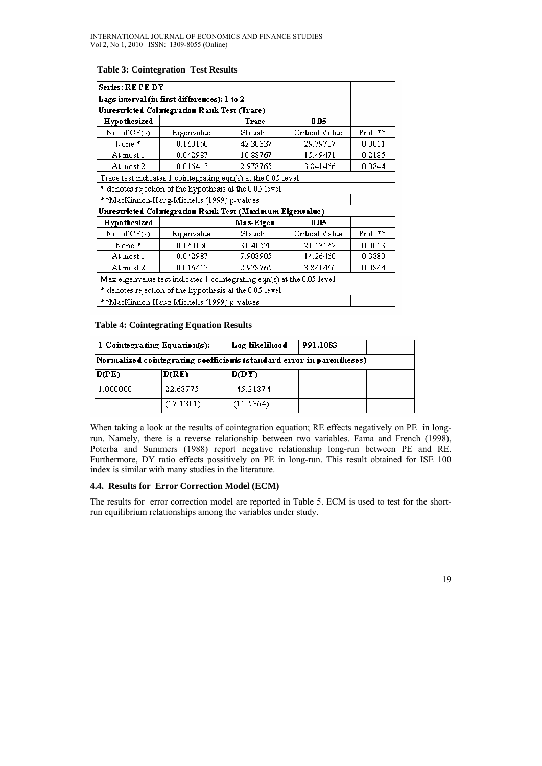| Series: RE PE DY                                                       |                                                               |           |                |         |  |
|------------------------------------------------------------------------|---------------------------------------------------------------|-----------|----------------|---------|--|
| Lags interval (in first differences): 1 to 2                           |                                                               |           |                |         |  |
| Unrestricted Cointegration Rank Test (Trace)                           |                                                               |           |                |         |  |
| <b>Hypothesized</b><br>Trace<br>0.05                                   |                                                               |           |                |         |  |
| No. of CE(s)                                                           | Eigenvalue                                                    | Statistic | Critical Value | Prob.** |  |
| None*                                                                  | 0.160150                                                      | 42.30337  | 29.79707       | 0.0011  |  |
| At most 1                                                              | 0.042987                                                      | 10.88767  | 15.49471       | 0.2185  |  |
| At most 2                                                              | 0.016413                                                      | 2.978765  | 3.841466       | 0.0844  |  |
|                                                                        | Trace test indicates 1 cointegrating eqn(s) at the 0.05 level |           |                |         |  |
|                                                                        | * denotes rejection of the hypothesis at the 0.05 level       |           |                |         |  |
| **MacKinnon-Haug-Michelis (1999) p-values                              |                                                               |           |                |         |  |
| Unrestricted Cointegration Rank Test (Maximum Eigenvalue)              |                                                               |           |                |         |  |
| <b>Hypothesized</b><br>Max-Eigen<br>0.05                               |                                                               |           |                |         |  |
| No. of CE(s)                                                           | Eigenvalue                                                    | Statistic | Critical Value | Prob.** |  |
| None*                                                                  | 0.160150                                                      | 31.41570  | 21.13162       | 0.0013  |  |
| At most 1                                                              | 0.3880                                                        |           |                |         |  |
| At most 2                                                              | 0.0844                                                        |           |                |         |  |
| Max-eigenvalue test indicates 1 cointegrating eqn(s) at the 0.05 level |                                                               |           |                |         |  |
| * denotes rejection of the hypothesis at the 0.05 level                |                                                               |           |                |         |  |
| **MacKinnon-Haug-Michelis (1999) p-values                              |                                                               |           |                |         |  |

## **Table 3: Cointegration Test Results**

# **Table 4: Cointegrating Equation Results**

|                                                                        | 1 Cointegrating Equation(s): | Log likelihood | -991.1083 |  |
|------------------------------------------------------------------------|------------------------------|----------------|-----------|--|
| [Normalized cointegrating coefficients (standard error in parentheses) |                              |                |           |  |
| D(PE)                                                                  | D(RE)                        | D(DY)          |           |  |
| 1.000000                                                               | 22.68775                     | -45.21874      |           |  |
|                                                                        | (17.1311)                    | (11.5364)      |           |  |

When taking a look at the results of cointegration equation; RE effects negatively on PE in longrun. Namely, there is a reverse relationship between two variables. Fama and French (1998), Poterba and Summers (1988) report negative relationship long-run between PE and RE. Furthermore, DY ratio effects possitively on PE in long-run. This result obtained for ISE 100 index is similar with many studies in the literature.

## **4.4. Results for Error Correction Model (ECM)**

The results for error correction model are reported in Table 5. ECM is used to test for the shortrun equilibrium relationships among the variables under study.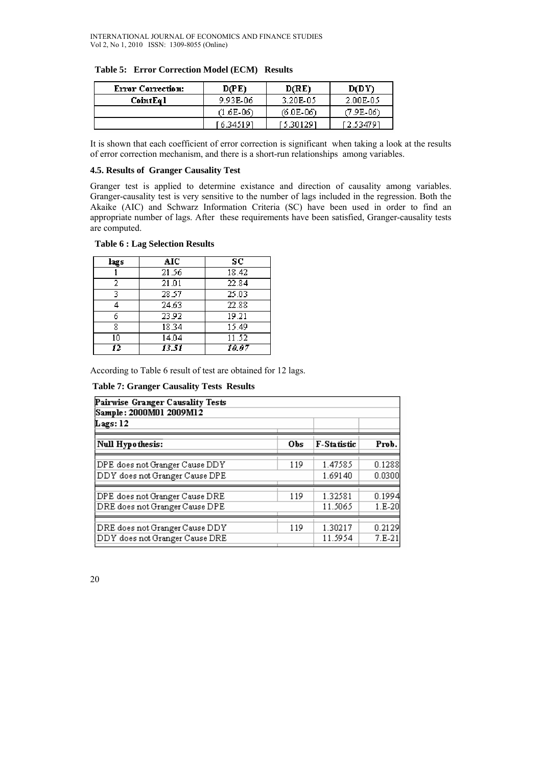| Error Correction: | D(PE)       | D(RE)       | D(DY)       |  |
|-------------------|-------------|-------------|-------------|--|
| CointEq l         | 9.93E-06    | 3.20E-05    | 2.00E-05    |  |
|                   | $(1.6E-06)$ | $(6.0E-06)$ | $(7.9E-06)$ |  |
|                   | 16.345191   | 5.301291 آ  | 12.534791   |  |

|  |  | Table 5: Error Correction Model (ECM) Results |  |  |  |
|--|--|-----------------------------------------------|--|--|--|
|--|--|-----------------------------------------------|--|--|--|

It is shown that each coefficient of error correction is significant when taking a look at the results of error correction mechanism, and there is a short-run relationships among variables.

# **4.5. Results of Granger Causality Test**

Granger test is applied to determine existance and direction of causality among variables. Granger-causality test is very sensitive to the number of lags included in the regression. Both the Akaike (AIC) and Schwarz Information Criteria (SC) have been used in order to find an appropriate number of lags. After these requirements have been satisfied, Granger-causality tests are computed.

## **Table 6 : Lag Selection Results**

| lags | AIC   | SC    |
|------|-------|-------|
|      | 21.56 | 18.42 |
| 2    | 21.01 | 22.84 |
| 2    | 28.57 | 25.03 |
|      | 24.63 | 22.88 |
| 6    | 23.92 | 19.21 |
| 8    | 18.34 | 15.49 |
| 10   | 14.04 | 11.52 |
| 12   | 13.51 | 10.07 |

According to Table 6 result of test are obtained for 12 lags.

 **Table 7: Granger Causality Tests Results** 

| Pairwise Granger Causality Tests<br>Sample: 2000M01 2009M12<br>Lags: 12 |     |             |          |  |  |
|-------------------------------------------------------------------------|-----|-------------|----------|--|--|
| Null Hypothesis:                                                        | Obs | F-Statistic | Prob.    |  |  |
| DPE does not Granger Cause DDY                                          | 119 | 1.47585     | 0.1288   |  |  |
| DDY does not Granger Cause DPE                                          |     | 1.69140     | 0.0300   |  |  |
| DPE does not Granger Cause DRE                                          | 119 | 1.32581     | 0.1994   |  |  |
| DRE does not Granger Cause DPE                                          |     | 11.5065     | $1.E-20$ |  |  |
| DRE does not Granger Cause DDY                                          | 119 | 1.30217     | 0.2129   |  |  |
| DDY does not Granger Cause DRE                                          |     | 11.5954     | $7.E-21$ |  |  |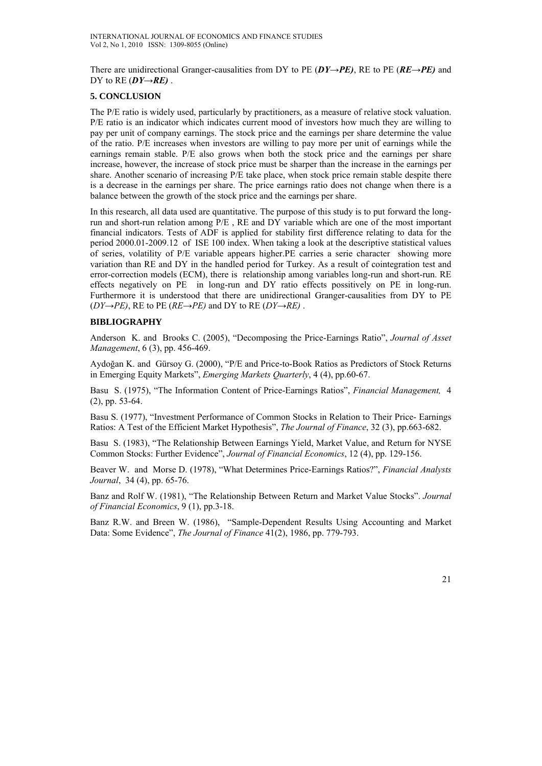There are unidirectional Granger-causalities from DY to PE (*DY→PE)*, RE to PE (*RE→PE)* and DY to  $RE(DY \rightarrow RE)$ .

# **5. CONCLUSION**

The P/E ratio is widely used, particularly by practitioners, as a measure of relative stock valuation. P/E ratio is an indicator which indicates current mood of investors how much they are willing to pay per unit of company earnings. The stock price and the earnings per share determine the value of the ratio. P/E increases when investors are willing to pay more per unit of earnings while the earnings remain stable. P/E also grows when both the stock price and the earnings per share increase, however, the increase of stock price must be sharper than the increase in the earnings per share. Another scenario of increasing P/E take place, when stock price remain stable despite there is a decrease in the earnings per share. The price earnings ratio does not change when there is a balance between the growth of the stock price and the earnings per share.

In this research, all data used are quantitative. The purpose of this study is to put forward the longrun and short-run relation among  $P/E$ , RE and DY variable which are one of the most important financial indicators. Tests of ADF is applied for stability first difference relating to data for the period 2000.01-2009.12 of ISE 100 index. When taking a look at the descriptive statistical values of series, volatility of P/E variable appears higher.PE carries a serie character showing more variation than RE and DY in the handled period for Turkey. As a result of cointegration test and error-correction models (ECM), there is relationship among variables long-run and short-run. RE effects negatively on PE in long-run and DY ratio effects possitively on PE in long-run. Furthermore it is understood that there are unidirectional Granger-causalities from DY to PE  $(DY \rightarrow PE)$ , RE to PE ( $RE \rightarrow PE$ ) and DY to RE ( $DY \rightarrow RE$ ).

# **BIBLIOGRAPHY**

Anderson K. and Brooks C. (2005), "Decomposing the Price-Earnings Ratio", *Journal of Asset Management*, 6 (3), pp. 456-469.

Aydoğan K. and Gürsoy G. (2000), "P/E and Price-to-Book Ratios as Predictors of Stock Returns in Emerging Equity Markets", *Emerging Markets Quarterly*, 4 (4), pp.60-67.

Basu S. (1975), "The Information Content of Price-Earnings Ratios", *Financial Management,* 4 (2), pp. 53-64.

Basu S. (1977), "Investment Performance of Common Stocks in Relation to Their Price- Earnings Ratios: A Test of the Efficient Market Hypothesis", *The Journal of Finance*, 32 (3), pp.663-682.

Basu S. (1983), "The Relationship Between Earnings Yield, Market Value, and Return for NYSE Common Stocks: Further Evidence", *Journal of Financial Economics*, 12 (4), pp. 129-156.

Beaver W. and Morse D. (1978), "What Determines Price-Earnings Ratios?", *Financial Analysts Journal*, 34 (4), pp. 65-76.

Banz and Rolf W. (1981), "The Relationship Between Return and Market Value Stocks". *Journal of Financial Economics*, 9 (1), pp.3-18.

Banz R.W. and Breen W. (1986), "Sample-Dependent Results Using Accounting and Market Data: Some Evidence", *The Journal of Finance* 41(2), 1986, pp. 779-793.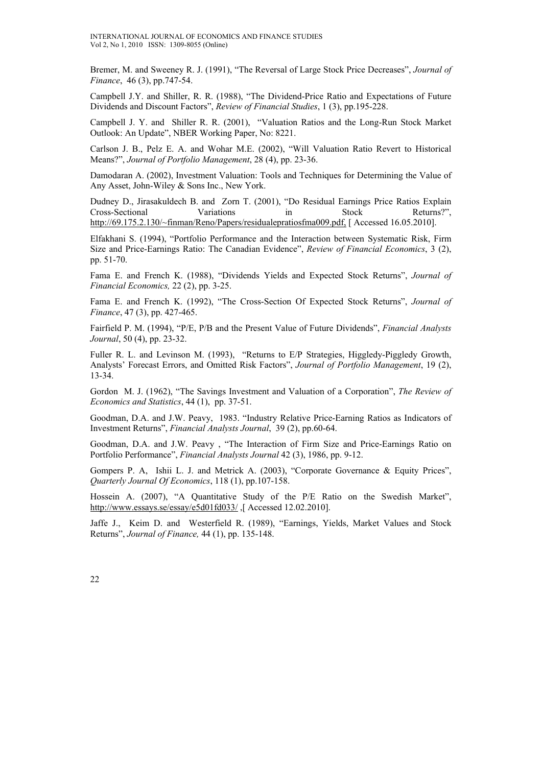Bremer, M. and Sweeney R. J. (1991), "The Reversal of Large Stock Price Decreases", *Journal of Finance*, 46 (3), pp.747-54.

Campbell J.Y. and Shiller, R. R. (1988), "The Dividend-Price Ratio and Expectations of Future Dividends and Discount Factors", *Review of Financial Studies*, 1 (3), pp.195-228.

Campbell J. Y. and Shiller R. R. (2001), "Valuation Ratios and the Long-Run Stock Market Outlook: An Update", NBER Working Paper, No: 8221.

Carlson J. B., Pelz E. A. and Wohar M.E. (2002), "Will Valuation Ratio Revert to Historical Means?", *Journal of Portfolio Management*, 28 (4), pp. 23-36.

Damodaran A. (2002), Investment Valuation: Tools and Techniques for Determining the Value of Any Asset, John-Wiley & Sons Inc., New York.

Dudney D., Jirasakuldech B. and Zorn T. (2001), "Do Residual Earnings Price Ratios Explain Cross-Sectional Variations in Stock Returns?", http://69.175.2.130/~finman/Reno/Papers/residualepratiosfma009.pdf, [ Accessed 16.05.2010].

Elfakhani S. (1994), "Portfolio Performance and the Interaction between Systematic Risk, Firm Size and Price-Earnings Ratio: The Canadian Evidence", *Review of Financial Economics*, 3 (2), pp. 51-70.

Fama E. and French K. (1988), "Dividends Yields and Expected Stock Returns", *Journal of Financial Economics,* 22 (2), pp. 3-25.

Fama E. and French K. (1992), "The Cross-Section Of Expected Stock Returns", *Journal of Finance*, 47 (3), pp. 427-465.

Fairfield P. M. (1994), "P/E, P/B and the Present Value of Future Dividends", *Financial Analysts Journal*, 50 (4), pp. 23-32.

Fuller R. L. and Levinson M. (1993), "Returns to E/P Strategies, Higgledy-Piggledy Growth, Analysts' Forecast Errors, and Omitted Risk Factors", *Journal of Portfolio Management*, 19 (2), 13-34.

Gordon M. J. (1962), "The Savings Investment and Valuation of a Corporation", *The Review of Economics and Statistics*, 44 (1), pp. 37-51.

Goodman, D.A. and J.W. Peavy, 1983. "Industry Relative Price-Earning Ratios as Indicators of Investment Returns", *Financial Analysts Journal*, 39 (2), pp.60-64.

Goodman, D.A. and J.W. Peavy , "The Interaction of Firm Size and Price-Earnings Ratio on Portfolio Performance", *Financial Analysts Journal* 42 (3), 1986, pp. 9-12.

Gompers P. A, Ishii L. J. and Metrick A. (2003), "Corporate Governance & Equity Prices", *Quarterly Journal Of Economics*, 118 (1), pp.107-158.

Hossein A. (2007), "A Quantitative Study of the P/E Ratio on the Swedish Market", http://www.essays.se/essay/e5d01fd033/ ,[ Accessed 12.02.2010].

Jaffe J., Keim D. and Westerfield R. (1989), "Earnings, Yields, Market Values and Stock Returns", *Journal of Finance,* 44 (1), pp. 135-148.